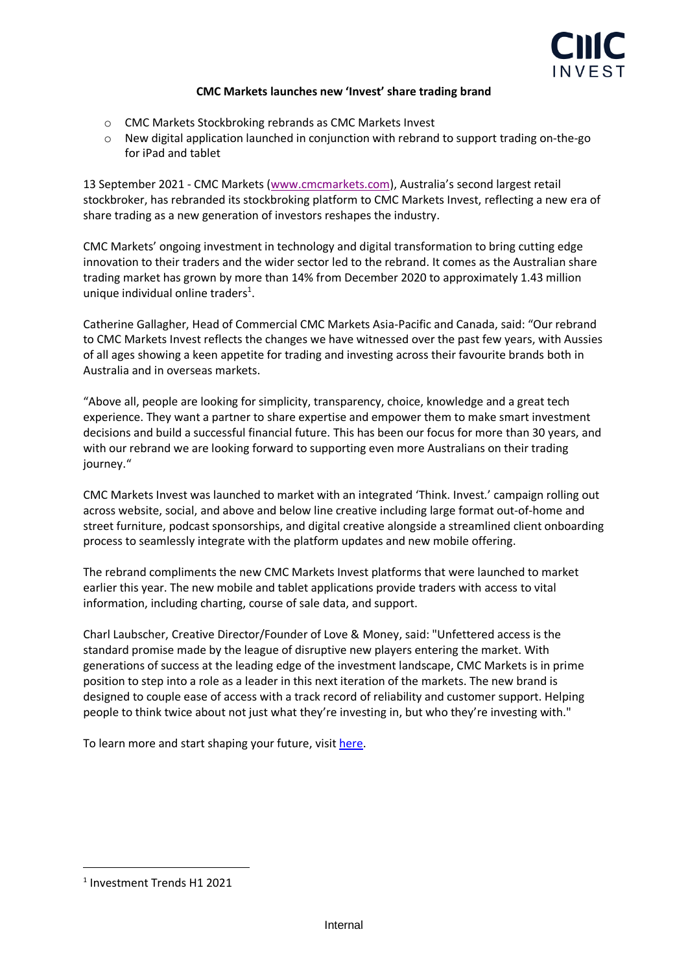

## **CMC Markets launches new 'Invest' share trading brand**

- o CMC Markets Stockbroking rebrands as CMC Markets Invest
- $\circ$  New digital application launched in conjunction with rebrand to support trading on-the-go for iPad and tablet

13 September 2021 - CMC Markets [\(www.cmcmarkets.com\)](http://www.cmcmarkets.com/), Australia's second largest retail stockbroker, has rebranded its stockbroking platform to CMC Markets Invest, reflecting a new era of share trading as a new generation of investors reshapes the industry.

CMC Markets' ongoing investment in technology and digital transformation to bring cutting edge innovation to their traders and the wider sector led to the rebrand. It comes as the Australian share trading market has grown by more than 14% from December 2020 to approximately 1.43 million unique individual online traders<sup>1</sup>.

Catherine Gallagher, Head of Commercial CMC Markets Asia-Pacific and Canada, said: "Our rebrand to CMC Markets Invest reflects the changes we have witnessed over the past few years, with Aussies of all ages showing a keen appetite for trading and investing across their favourite brands both in Australia and in overseas markets.

"Above all, people are looking for simplicity, transparency, choice, knowledge and a great tech experience. They want a partner to share expertise and empower them to make smart investment decisions and build a successful financial future. This has been our focus for more than 30 years, and with our rebrand we are looking forward to supporting even more Australians on their trading journey."

CMC Markets Invest was launched to market with an integrated 'Think. Invest.' campaign rolling out across website, social, and above and below line creative including large format out-of-home and street furniture, podcast sponsorships, and digital creative alongside a streamlined client onboarding process to seamlessly integrate with the platform updates and new mobile offering.

The rebrand compliments the new CMC Markets Invest platforms that were launched to market earlier this year. The new mobile and tablet applications provide traders with access to vital information, including charting, course of sale data, and support.

Charl Laubscher, Creative Director/Founder of Love & Money, said: "Unfettered access is the standard promise made by the league of disruptive new players entering the market. With generations of success at the leading edge of the investment landscape, CMC Markets is in prime position to step into a role as a leader in this next iteration of the markets. The new brand is designed to couple ease of access with a track record of reliability and customer support. Helping people to think twice about not just what they're investing in, but who they're investing with."

To learn more and start shaping your future, visi[t here.](https://www.cmcmarkets.com/en-au/lp/stb-brand?gclsrc=aw.ds&)

<sup>1</sup> Investment Trends H1 2021